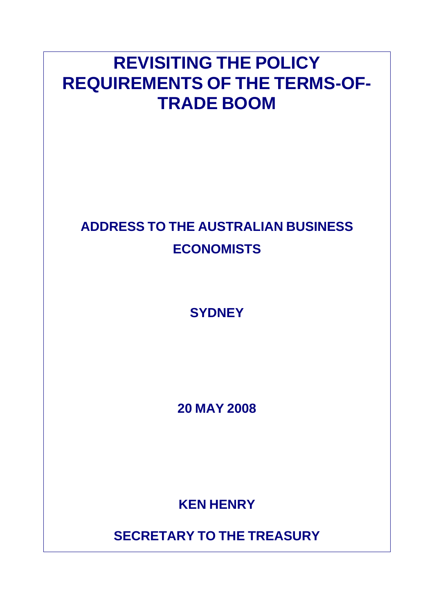# **REVISITING THE POLICY REQUIREMENTS OF THE TERMS-OF-TRADE BOOM**

## **ADDRESS TO THE AUSTRALIAN BUSINESS ECONOMISTS**

**SYDNEY** 

**20 MAY 2008** 

**KEN HENRY**

**SECRETARY TO THE TREASURY**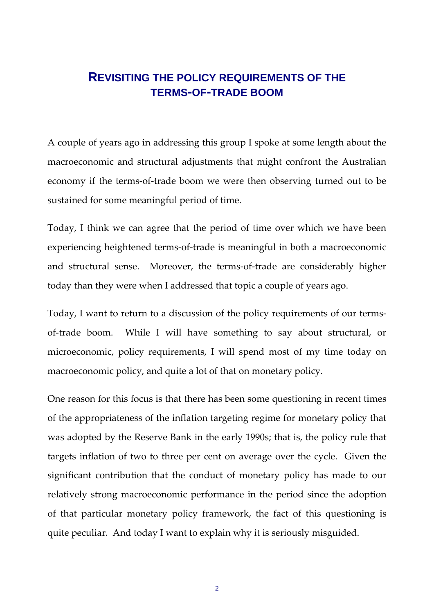## **REVISITING THE POLICY REQUIREMENTS OF THE TERMS-OF-TRADE BOOM**

A couple of years ago in addressing this group I spoke at some length about the macroeconomic and structural adjustments that might confront the Australian economy if the terms-of-trade boom we were then observing turned out to be sustained for some meaningful period of time.

Today, I think we can agree that the period of time over which we have been experiencing heightened terms‐of‐trade is meaningful in both a macroeconomic and structural sense. Moreover, the terms-of-trade are considerably higher today than they were when I addressed that topic a couple of years ago.

Today, I want to return to a discussion of the policy requirements of our terms‐ of-trade boom. While I will have something to say about structural, or microeconomic, policy requirements, I will spend most of my time today on macroeconomic policy, and quite a lot of that on monetary policy.

One reason for this focus is that there has been some questioning in recent times of the appropriateness of the inflation targeting regime for monetary policy that was adopted by the Reserve Bank in the early 1990s; that is, the policy rule that targets inflation of two to three per cent on average over the cycle. Given the significant contribution that the conduct of monetary policy has made to our relatively strong macroeconomic performance in the period since the adoption of that particular monetary policy framework, the fact of this questioning is quite peculiar. And today I want to explain why it is seriously misguided.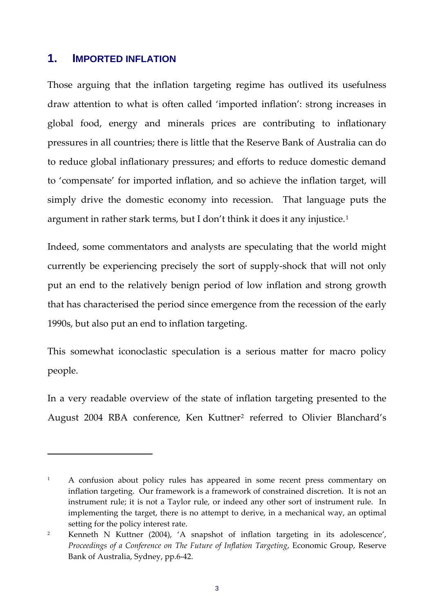## **1. IMPORTED INFLATION**

Those arguing that the inflation targeting regime has outlived its usefulness draw attention to what is often called 'imported inflation': strong increases in global food, energy and minerals prices are contributing to inflationary pressures in all countries; there is little that the Reserve Bank of Australia can do to reduce global inflationary pressures; and efforts to reduce domestic demand to 'compensate' for imported inflation, and so achieve the inflation target, will simply drive the domestic economy into recession. That language puts the argument in rather stark terms, but I don't think it does it any injustice.[1](#page-2-0)

Indeed, some commentators and analysts are speculating that the world might currently be experiencing precisely the sort of supply‐shock that will not only put an end to the relatively benign period of low inflation and strong growth that has characterised the period since emergence from the recession of the early 1990s, but also put an end to inflation targeting.

This somewhat iconoclastic speculation is a serious matter for macro policy people.

In a very readable overview of the state of inflation targeting presented to the August [2](#page-2-1)004 RBA conference, Ken Kuttner<sup>2</sup> referred to Olivier Blanchard's

<span id="page-2-0"></span><sup>&</sup>lt;sup>1</sup> A confusion about policy rules has appeared in some recent press commentary on inflation targeting. Our framework is a framework of constrained discretion. It is not an instrument rule; it is not a Taylor rule, or indeed any other sort of instrument rule. In implementing the target, there is no attempt to derive, in a mechanical way, an optimal setting for the policy interest rate.

<span id="page-2-1"></span><sup>&</sup>lt;sup>2</sup> Kenneth N Kuttner (2004), 'A snapshot of inflation targeting in its adolescence', *Proceedings of a Conference on The Future of Inflation Targeting*, Economic Group, Reserve Bank of Australia, Sydney, pp.6‐42.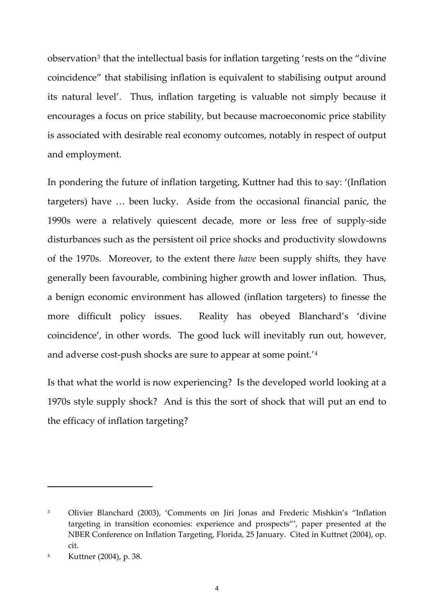observation<sup>[3](#page-3-0)</sup> that the intellectual basis for inflation targeting 'rests on the "divine" coincidence" that stabilising inflation is equivalent to stabilising output around its natural level'. Thus, inflation targeting is valuable not simply because it encourages a focus on price stability, but because macroeconomic price stability is associated with desirable real economy outcomes, notably in respect of output and employment.

In pondering the future of inflation targeting, Kuttner had this to say: '(Inflation targeters) have … been lucky. Aside from the occasional financial panic, the 1990s were a relatively quiescent decade, more or less free of supply‐side disturbances such as the persistent oil price shocks and productivity slowdowns of the 1970s. Moreover, to the extent there *have* been supply shifts, they have generally been favourable, combining higher growth and lower inflation. Thus, a benign economic environment has allowed (inflation targeters) to finesse the more difficult policy issues. Reality has obeyed Blanchard's 'divine coincidence', in other words. The good luck will inevitably run out, however, and adverse cost-push shocks are sure to appear at some point.<sup>'[4](#page-3-1)</sup>

Is that what the world is now experiencing? Is the developed world looking at a 1970s style supply shock? And is this the sort of shock that will put an end to the efficacy of inflation targeting?

<span id="page-3-0"></span><sup>3</sup> Olivier Blanchard (2003), 'Comments on Jiri Jonas and Frederic Mishkin's "Inflation targeting in transition economies: experience and prospects"', paper presented at the NBER Conference on Inflation Targeting, Florida, 25 January. Cited in Kuttnet (2004), op. cit.

<span id="page-3-1"></span><sup>4</sup> Kuttner (2004), p. 38.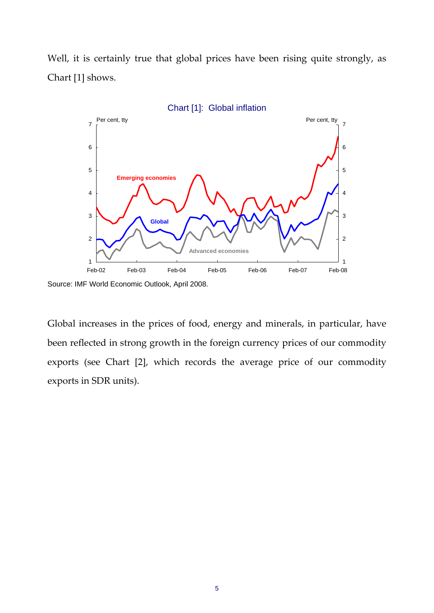Well, it is certainly true that global prices have been rising quite strongly, as Chart [1] shows.



Source: IMF World Economic Outlook, April 2008.

Global increases in the prices of food, energy and minerals, in particular, have been reflected in strong growth in the foreign currency prices of our commodity exports (see Chart [2], which records the average price of our commodity exports in SDR units).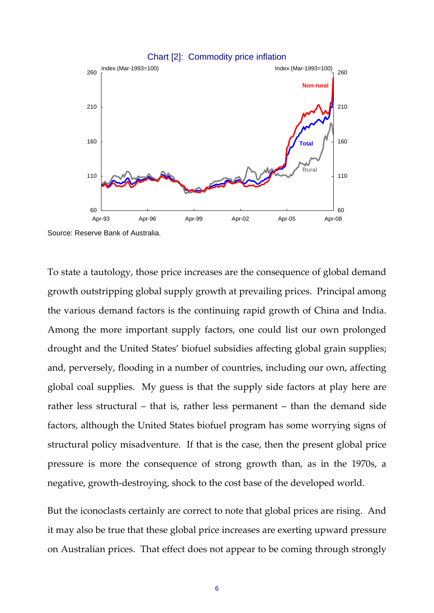

Source: Reserve Bank of Australia.

To state a tautology, those price increases are the consequence of global demand growth outstripping global supply growth at prevailing prices. Principal among the various demand factors is the continuing rapid growth of China and India. Among the more important supply factors, one could list our own prolonged drought and the United States' biofuel subsidies affecting global grain supplies; and, perversely, flooding in a number of countries, including our own, affecting global coal supplies. My guess is that the supply side factors at play here are rather less structural – that is, rather less permanent – than the demand side factors, although the United States biofuel program has some worrying signs of structural policy misadventure. If that is the case, then the present global price pressure is more the consequence of strong growth than, as in the 1970s, a negative, growth-destroying, shock to the cost base of the developed world.

But the iconoclasts certainly are correct to note that global prices are rising. And it may also be true that these global price increases are exerting upward pressure on Australian prices. That effect does not appear to be coming through strongly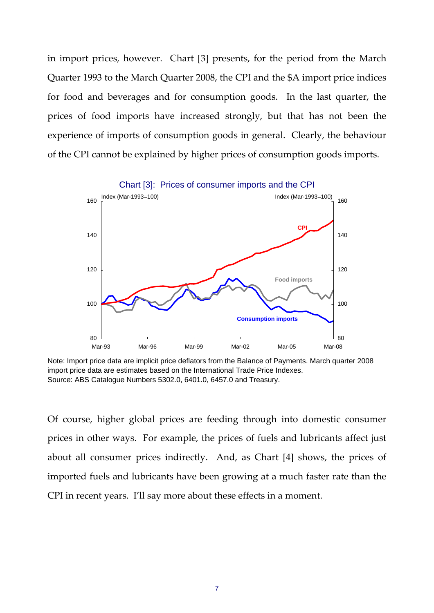in import prices, however. Chart [3] presents, for the period from the March Quarter 1993 to the March Quarter 2008, the CPI and the \$A import price indices for food and beverages and for consumption goods. In the last quarter, the prices of food imports have increased strongly, but that has not been the experience of imports of consumption goods in general. Clearly, the behaviour of the CPI cannot be explained by higher prices of consumption goods imports.



Note: Import price data are implicit price deflators from the Balance of Payments. March quarter 2008 import price data are estimates based on the International Trade Price Indexes. Source: ABS Catalogue Numbers 5302.0, 6401.0, 6457.0 and Treasury.

Of course, higher global prices are feeding through into domestic consumer prices in other ways. For example, the prices of fuels and lubricants affect just about all consumer prices indirectly. And, as Chart [4] shows, the prices of imported fuels and lubricants have been growing at a much faster rate than the CPI in recent years. I'll say more about these effects in a moment.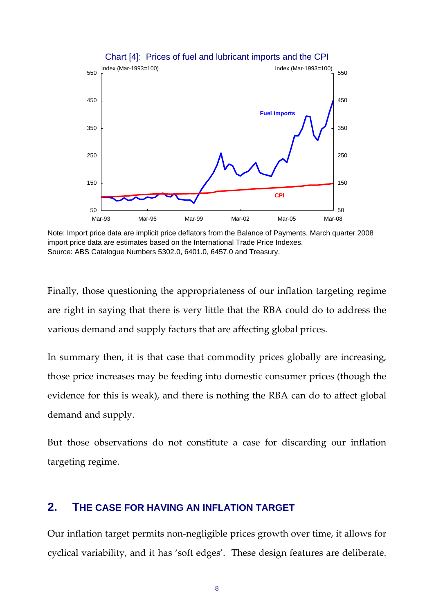

Chart [4]: Prices of fuel and lubricant imports and the CPI

Note: Import price data are implicit price deflators from the Balance of Payments. March quarter 2008 import price data are estimates based on the International Trade Price Indexes. Source: ABS Catalogue Numbers 5302.0, 6401.0, 6457.0 and Treasury.

Finally, those questioning the appropriateness of our inflation targeting regime are right in saying that there is very little that the RBA could do to address the various demand and supply factors that are affecting global prices.

In summary then, it is that case that commodity prices globally are increasing, those price increases may be feeding into domestic consumer prices (though the evidence for this is weak), and there is nothing the RBA can do to affect global demand and supply.

But those observations do not constitute a case for discarding our inflation targeting regime.

## **2. THE CASE FOR HAVING AN INFLATION TARGET**

Our inflation target permits non‐negligible prices growth over time, it allows for cyclical variability, and it has 'soft edges'. These design features are deliberate.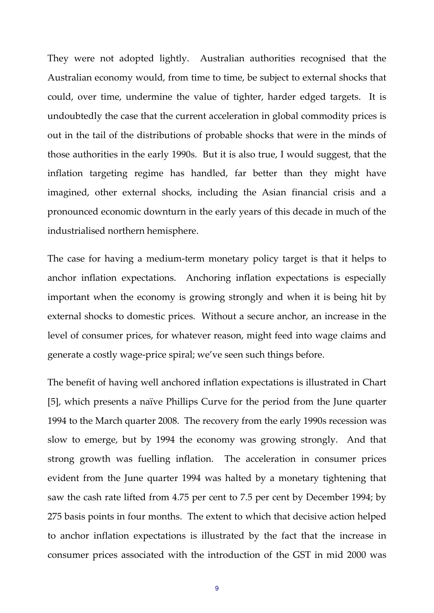They were not adopted lightly. Australian authorities recognised that the Australian economy would, from time to time, be subject to external shocks that could, over time, undermine the value of tighter, harder edged targets. It is undoubtedly the case that the current acceleration in global commodity prices is out in the tail of the distributions of probable shocks that were in the minds of those authorities in the early 1990s. But it is also true, I would suggest, that the inflation targeting regime has handled, far better than they might have imagined, other external shocks, including the Asian financial crisis and a pronounced economic downturn in the early years of this decade in much of the industrialised northern hemisphere.

The case for having a medium‐term monetary policy target is that it helps to anchor inflation expectations. Anchoring inflation expectations is especially important when the economy is growing strongly and when it is being hit by external shocks to domestic prices. Without a secure anchor, an increase in the level of consumer prices, for whatever reason, might feed into wage claims and generate a costly wage‐price spiral; we've seen such things before.

The benefit of having well anchored inflation expectations is illustrated in Chart [5], which presents a naïve Phillips Curve for the period from the June quarter 1994 to the March quarter 2008. The recovery from the early 1990s recession was slow to emerge, but by 1994 the economy was growing strongly. And that strong growth was fuelling inflation. The acceleration in consumer prices evident from the June quarter 1994 was halted by a monetary tightening that saw the cash rate lifted from 4.75 per cent to 7.5 per cent by December 1994; by 275 basis points in four months. The extent to which that decisive action helped to anchor inflation expectations is illustrated by the fact that the increase in consumer prices associated with the introduction of the GST in mid 2000 was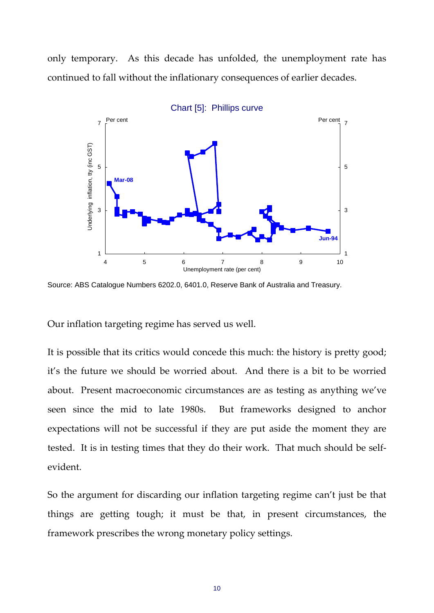only temporary. As this decade has unfolded, the unemployment rate has continued to fall without the inflationary consequences of earlier decades.



Source: ABS Catalogue Numbers 6202.0, 6401.0, Reserve Bank of Australia and Treasury.

Our inflation targeting regime has served us well.

It is possible that its critics would concede this much: the history is pretty good; it's the future we should be worried about. And there is a bit to be worried about. Present macroeconomic circumstances are as testing as anything we've seen since the mid to late 1980s. But frameworks designed to anchor expectations will not be successful if they are put aside the moment they are tested. It is in testing times that they do their work. That much should be self‐ evident.

So the argument for discarding our inflation targeting regime can't just be that things are getting tough; it must be that, in present circumstances, the framework prescribes the wrong monetary policy settings.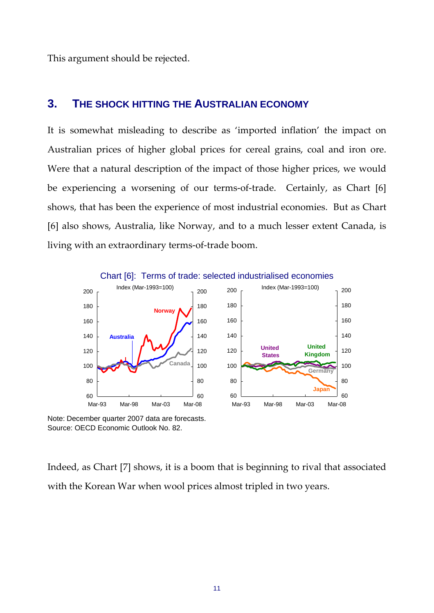This argument should be rejected.

## **3. THE SHOCK HITTING THE AUSTRALIAN ECONOMY**

It is somewhat misleading to describe as 'imported inflation' the impact on Australian prices of higher global prices for cereal grains, coal and iron ore. Were that a natural description of the impact of those higher prices, we would be experiencing a worsening of our terms-of-trade. Certainly, as Chart [6] shows, that has been the experience of most industrial economies. But as Chart [6] also shows, Australia, like Norway, and to a much lesser extent Canada, is living with an extraordinary terms‐of‐trade boom.



Chart [6]: Terms of trade: selected industrialised economies

Note: December quarter 2007 data are forecasts. Source: OECD Economic Outlook No. 82.

Indeed, as Chart [7] shows, it is a boom that is beginning to rival that associated with the Korean War when wool prices almost tripled in two years.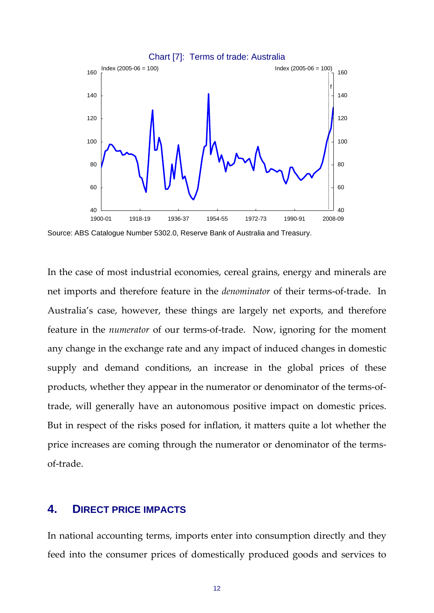

Source: ABS Catalogue Number 5302.0, Reserve Bank of Australia and Treasury.

In the case of most industrial economies, cereal grains, energy and minerals are net imports and therefore feature in the *denominator* of their terms‐of‐trade. In Australia's case, however, these things are largely net exports, and therefore feature in the *numerator* of our terms-of-trade. Now, ignoring for the moment any change in the exchange rate and any impact of induced changes in domestic supply and demand conditions, an increase in the global prices of these products, whether they appear in the numerator or denominator of the terms‐of‐ trade, will generally have an autonomous positive impact on domestic prices. But in respect of the risks posed for inflation, it matters quite a lot whether the price increases are coming through the numerator or denominator of the termsof‐trade.

### **4. DIRECT PRICE IMPACTS**

In national accounting terms, imports enter into consumption directly and they feed into the consumer prices of domestically produced goods and services to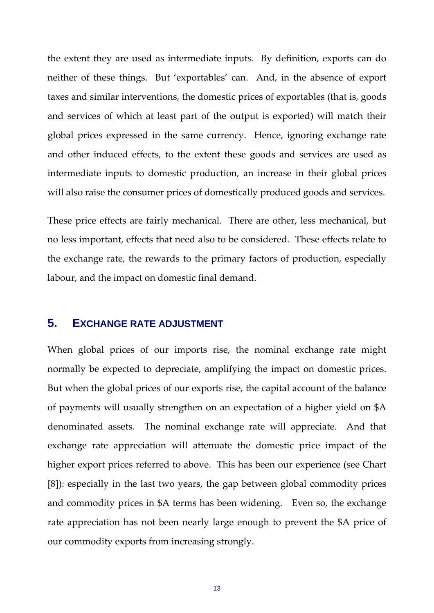the extent they are used as intermediate inputs. By definition, exports can do neither of these things. But 'exportables' can. And, in the absence of export taxes and similar interventions, the domestic prices of exportables (that is, goods and services of which at least part of the output is exported) will match their global prices expressed in the same currency. Hence, ignoring exchange rate and other induced effects, to the extent these goods and services are used as intermediate inputs to domestic production, an increase in their global prices will also raise the consumer prices of domestically produced goods and services.

These price effects are fairly mechanical. There are other, less mechanical, but no less important, effects that need also to be considered. These effects relate to the exchange rate, the rewards to the primary factors of production, especially labour, and the impact on domestic final demand.

### **5. EXCHANGE RATE ADJUSTMENT**

When global prices of our imports rise, the nominal exchange rate might normally be expected to depreciate, amplifying the impact on domestic prices. But when the global prices of our exports rise, the capital account of the balance of payments will usually strengthen on an expectation of a higher yield on \$A denominated assets. The nominal exchange rate will appreciate. And that exchange rate appreciation will attenuate the domestic price impact of the higher export prices referred to above. This has been our experience (see Chart [8]): especially in the last two years, the gap between global commodity prices and commodity prices in \$A terms has been widening. Even so, the exchange rate appreciation has not been nearly large enough to prevent the \$A price of our commodity exports from increasing strongly.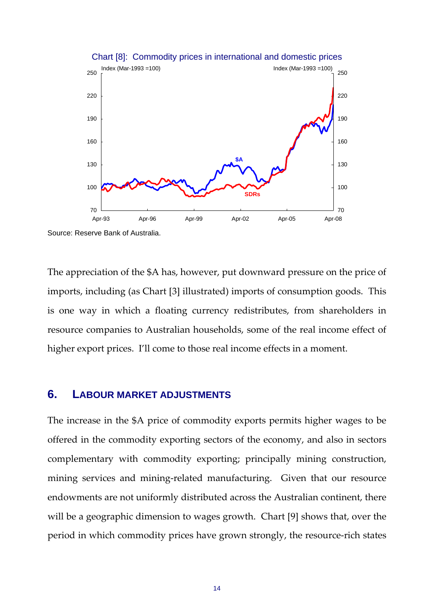

#### Chart [8]: Commodity prices in international and domestic prices

Source: Reserve Bank of Australia.

The appreciation of the \$A has, however, put downward pressure on the price of imports, including (as Chart [3] illustrated) imports of consumption goods. This is one way in which a floating currency redistributes, from shareholders in resource companies to Australian households, some of the real income effect of higher export prices. I'll come to those real income effects in a moment.

#### **6. LABOUR MARKET ADJUSTMENTS**

The increase in the \$A price of commodity exports permits higher wages to be offered in the commodity exporting sectors of the economy, and also in sectors complementary with commodity exporting; principally mining construction, mining services and mining-related manufacturing. Given that our resource endowments are not uniformly distributed across the Australian continent, there will be a geographic dimension to wages growth. Chart [9] shows that, over the period in which commodity prices have grown strongly, the resource‐rich states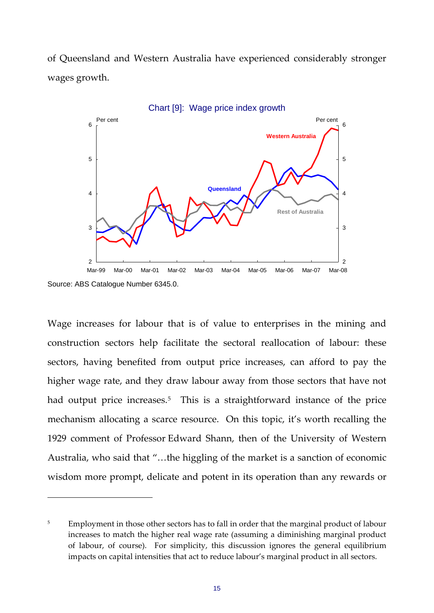of Queensland and Western Australia have experienced considerably stronger wages growth.



Source: ABS Catalogue Number 6345.0.

Wage increases for labour that is of value to enterprises in the mining and construction sectors help facilitate the sectoral reallocation of labour: these sectors, having benefited from output price increases, can afford to pay the higher wage rate, and they draw labour away from those sectors that have not had output price increases.<sup>[5](#page-14-0)</sup> This is a straightforward instance of the price mechanism allocating a scarce resource. On this topic, it's worth recalling the 1929 comment of Professor Edward Shann, then of the University of Western Australia, who said that "…the higgling of the market is a sanction of economic wisdom more prompt, delicate and potent in its operation than any rewards or

<span id="page-14-0"></span><sup>&</sup>lt;sup>5</sup> Employment in those other sectors has to fall in order that the marginal product of labour increases to match the higher real wage rate (assuming a diminishing marginal product of labour, of course). For simplicity, this discussion ignores the general equilibrium impacts on capital intensities that act to reduce labour's marginal product in all sectors.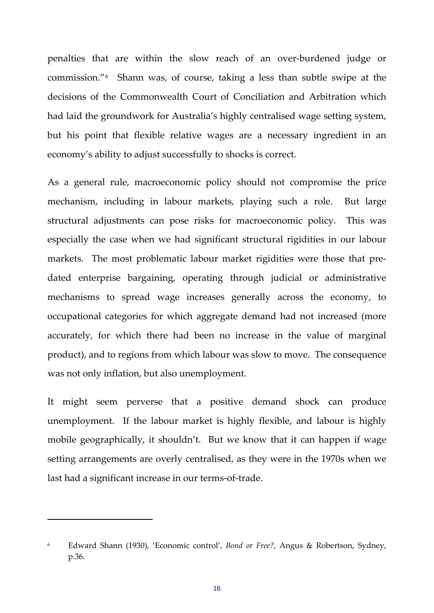penalties that are within the slow reach of an over-burdened judge or commission."[6](#page-15-0) Shann was, of course, taking a less than subtle swipe at the decisions of the Commonwealth Court of Conciliation and Arbitration which had laid the groundwork for Australia's highly centralised wage setting system, but his point that flexible relative wages are a necessary ingredient in an economy's ability to adjust successfully to shocks is correct.

As a general rule, macroeconomic policy should not compromise the price mechanism, including in labour markets, playing such a role. But large structural adjustments can pose risks for macroeconomic policy. This was especially the case when we had significant structural rigidities in our labour markets. The most problematic labour market rigidities were those that predated enterprise bargaining, operating through judicial or administrative mechanisms to spread wage increases generally across the economy, to occupational categories for which aggregate demand had not increased (more accurately, for which there had been no increase in the value of marginal product), and to regions from which labour was slow to move. The consequence was not only inflation, but also unemployment.

It might seem perverse that a positive demand shock can produce unemployment. If the labour market is highly flexible, and labour is highly mobile geographically, it shouldn't. But we know that it can happen if wage setting arrangements are overly centralised, as they were in the 1970s when we last had a significant increase in our terms‐of‐trade.

<span id="page-15-0"></span><sup>6</sup> Edward Shann (1930), 'Economic control', *Bond or Free?*, Angus & Robertson, Sydney, p.36.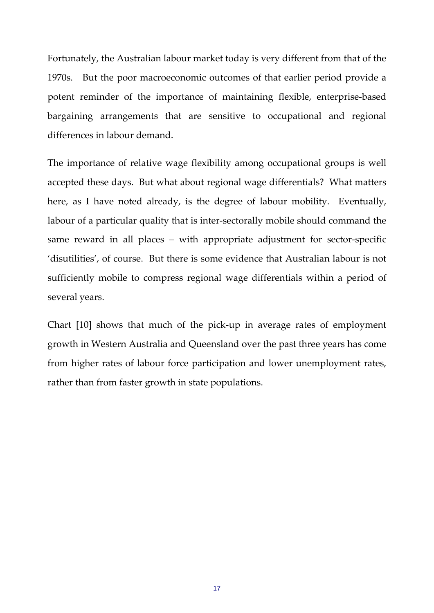Fortunately, the Australian labour market today is very different from that of the 1970s. But the poor macroeconomic outcomes of that earlier period provide a potent reminder of the importance of maintaining flexible, enterprise‐based bargaining arrangements that are sensitive to occupational and regional differences in labour demand.

The importance of relative wage flexibility among occupational groups is well accepted these days. But what about regional wage differentials? What matters here, as I have noted already, is the degree of labour mobility. Eventually, labour of a particular quality that is inter‐sectorally mobile should command the same reward in all places – with appropriate adjustment for sector-specific 'disutilities', of course. But there is some evidence that Australian labour is not sufficiently mobile to compress regional wage differentials within a period of several years.

Chart [10] shows that much of the pick‐up in average rates of employment growth in Western Australia and Queensland over the past three years has come from higher rates of labour force participation and lower unemployment rates, rather than from faster growth in state populations.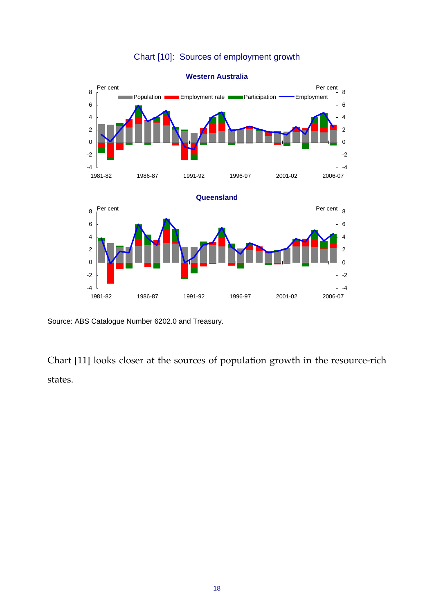## Chart [10]: Sources of employment growth



Source: ABS Catalogue Number 6202.0 and Treasury.

Chart [11] looks closer at the sources of population growth in the resource‐rich states.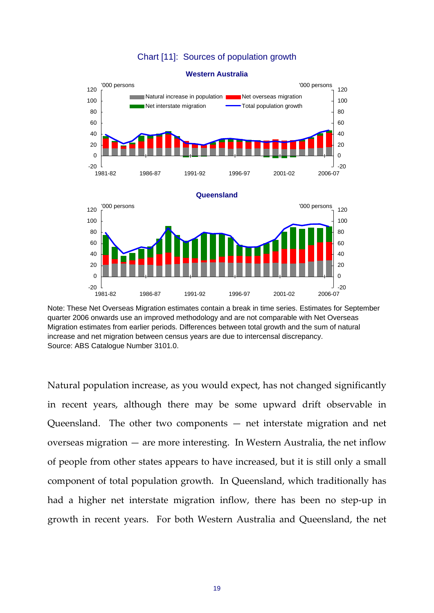#### Chart [11]: Sources of population growth



#### **Western Australia**

Natural population increase, as you would expect, has not changed significantly in recent years, although there may be some upward drift observable in Queensland. The other two components  $-$  net interstate migration and net overseas migration — are more interesting. In Western Australia, the net inflow of people from other states appears to have increased, but it is still only a small component of total population growth. In Queensland, which traditionally has had a higher net interstate migration inflow, there has been no step‐up in growth in recent years. For both Western Australia and Queensland, the net

Note: These Net Overseas Migration estimates contain a break in time series. Estimates for September quarter 2006 onwards use an improved methodology and are not comparable with Net Overseas Migration estimates from earlier periods. Differences between total growth and the sum of natural increase and net migration between census years are due to intercensal discrepancy. Source: ABS Catalogue Number 3101.0.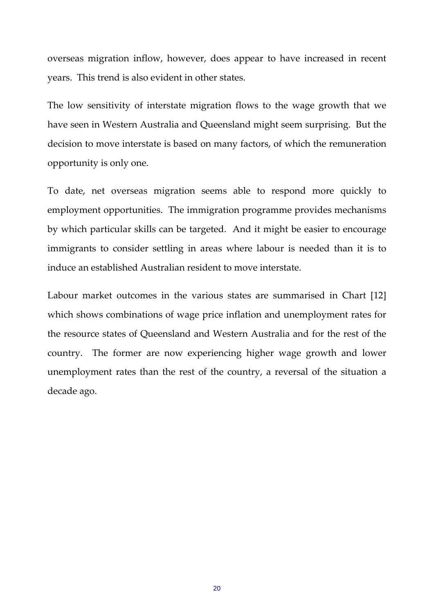overseas migration inflow, however, does appear to have increased in recent years. This trend is also evident in other states.

The low sensitivity of interstate migration flows to the wage growth that we have seen in Western Australia and Queensland might seem surprising. But the decision to move interstate is based on many factors, of which the remuneration opportunity is only one.

To date, net overseas migration seems able to respond more quickly to employment opportunities. The immigration programme provides mechanisms by which particular skills can be targeted. And it might be easier to encourage immigrants to consider settling in areas where labour is needed than it is to induce an established Australian resident to move interstate.

Labour market outcomes in the various states are summarised in Chart [12] which shows combinations of wage price inflation and unemployment rates for the resource states of Queensland and Western Australia and for the rest of the country. The former are now experiencing higher wage growth and lower unemployment rates than the rest of the country, a reversal of the situation a decade ago.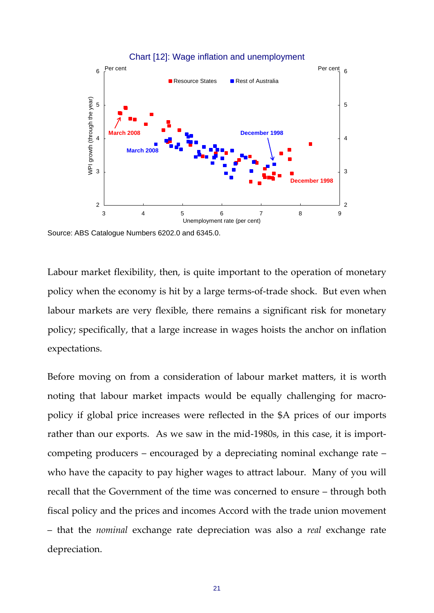

Source: ABS Catalogue Numbers 6202.0 and 6345.0.

Labour market flexibility, then, is quite important to the operation of monetary policy when the economy is hit by a large terms‐of‐trade shock. But even when labour markets are very flexible, there remains a significant risk for monetary policy; specifically, that a large increase in wages hoists the anchor on inflation expectations.

Before moving on from a consideration of labour market matters, it is worth noting that labour market impacts would be equally challenging for macropolicy if global price increases were reflected in the \$A prices of our imports rather than our exports. As we saw in the mid-1980s, in this case, it is importcompeting producers – encouraged by a depreciating nominal exchange rate – who have the capacity to pay higher wages to attract labour. Many of you will recall that the Government of the time was concerned to ensure – through both fiscal policy and the prices and incomes Accord with the trade union movement – that the *nominal* exchange rate depreciation was also a *real* exchange rate depreciation.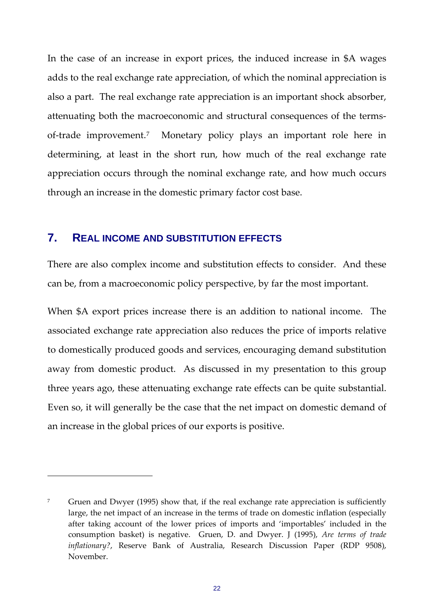In the case of an increase in export prices, the induced increase in \$A wages adds to the real exchange rate appreciation, of which the nominal appreciation is also a part. The real exchange rate appreciation is an important shock absorber, attenuating both the macroeconomic and structural consequences of the terms‐ of-trade improvement.<sup>[7](#page-21-0)</sup> Monetary policy plays an important role here in determining, at least in the short run, how much of the real exchange rate appreciation occurs through the nominal exchange rate, and how much occurs through an increase in the domestic primary factor cost base.

#### **7. REAL INCOME AND SUBSTITUTION EFFECTS**

There are also complex income and substitution effects to consider. And these can be, from a macroeconomic policy perspective, by far the most important.

When \$A export prices increase there is an addition to national income. The associated exchange rate appreciation also reduces the price of imports relative to domestically produced goods and services, encouraging demand substitution away from domestic product. As discussed in my presentation to this group three years ago, these attenuating exchange rate effects can be quite substantial. Even so, it will generally be the case that the net impact on domestic demand of an increase in the global prices of our exports is positive.

<span id="page-21-0"></span><sup>&</sup>lt;sup>7</sup> Gruen and Dwyer (1995) show that, if the real exchange rate appreciation is sufficiently large, the net impact of an increase in the terms of trade on domestic inflation (especially after taking account of the lower prices of imports and 'importables' included in the consumption basket) is negative. Gruen, D. and Dwyer. J (1995), *Are terms of trade inflationary?*, Reserve Bank of Australia, Research Discussion Paper (RDP 9508), November.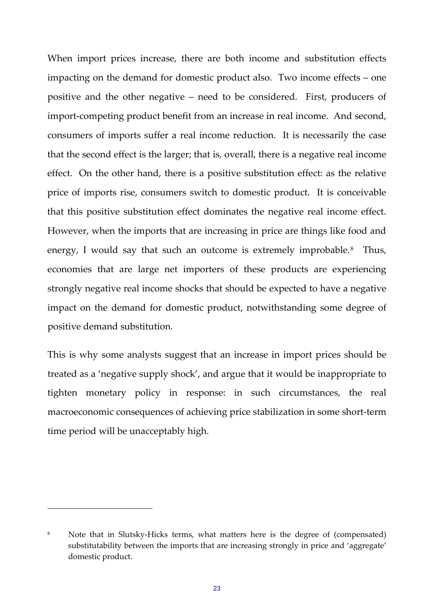When import prices increase, there are both income and substitution effects impacting on the demand for domestic product also. Two income effects – one positive and the other negative – need to be considered. First, producers of import-competing product benefit from an increase in real income. And second, consumers of imports suffer a real income reduction. It is necessarily the case that the second effect is the larger; that is, overall, there is a negative real income effect. On the other hand, there is a positive substitution effect: as the relative price of imports rise, consumers switch to domestic product. It is conceivable that this positive substitution effect dominates the negative real income effect. However, when the imports that are increasing in price are things like food and energy, I would say that such an outcome is extremely improbable.<sup>[8](#page-22-0)</sup> Thus, economies that are large net importers of these products are experiencing strongly negative real income shocks that should be expected to have a negative impact on the demand for domestic product, notwithstanding some degree of positive demand substitution.

This is why some analysts suggest that an increase in import prices should be treated as a 'negative supply shock', and argue that it would be inappropriate to tighten monetary policy in response: in such circumstances, the real macroeconomic consequences of achieving price stabilization in some short‐term time period will be unacceptably high.

<span id="page-22-0"></span><sup>&</sup>lt;sup>8</sup> Note that in Slutsky-Hicks terms, what matters here is the degree of (compensated) substitutability between the imports that are increasing strongly in price and 'aggregate' domestic product.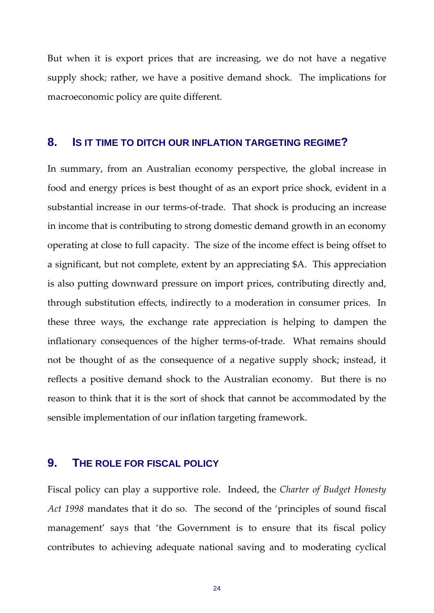But when it is export prices that are increasing, we do not have a negative supply shock; rather, we have a positive demand shock. The implications for macroeconomic policy are quite different.

### **8. IS IT TIME TO DITCH OUR INFLATION TARGETING REGIME?**

In summary, from an Australian economy perspective, the global increase in food and energy prices is best thought of as an export price shock, evident in a substantial increase in our terms‐of‐trade. That shock is producing an increase in income that is contributing to strong domestic demand growth in an economy operating at close to full capacity. The size of the income effect is being offset to a significant, but not complete, extent by an appreciating \$A. This appreciation is also putting downward pressure on import prices, contributing directly and, through substitution effects, indirectly to a moderation in consumer prices. In these three ways, the exchange rate appreciation is helping to dampen the inflationary consequences of the higher terms-of-trade. What remains should not be thought of as the consequence of a negative supply shock; instead, it reflects a positive demand shock to the Australian economy. But there is no reason to think that it is the sort of shock that cannot be accommodated by the sensible implementation of our inflation targeting framework.

## **9. THE ROLE FOR FISCAL POLICY**

Fiscal policy can play a supportive role. Indeed, the *Charter of Budget Honesty Act 1998* mandates that it do so. The second of the 'principles of sound fiscal management' says that 'the Government is to ensure that its fiscal policy contributes to achieving adequate national saving and to moderating cyclical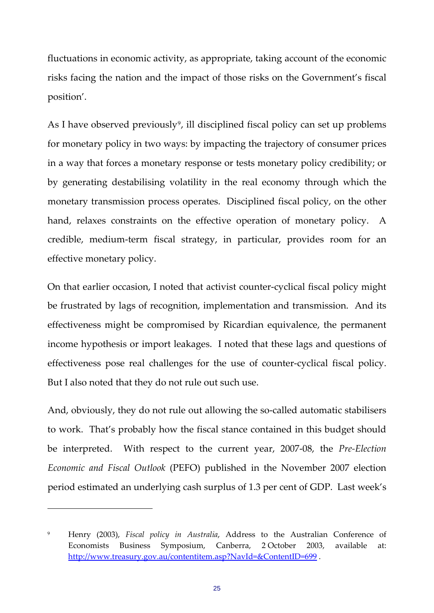fluctuations in economic activity, as appropriate, taking account of the economic risks facing the nation and the impact of those risks on the Government's fiscal position'.

As I have observed previously<sup>[9](#page-24-0)</sup>, ill disciplined fiscal policy can set up problems for monetary policy in two ways: by impacting the trajectory of consumer prices in a way that forces a monetary response or tests monetary policy credibility; or by generating destabilising volatility in the real economy through which the monetary transmission process operates. Disciplined fiscal policy, on the other hand, relaxes constraints on the effective operation of monetary policy. A credible, medium‐term fiscal strategy, in particular, provides room for an effective monetary policy.

On that earlier occasion, I noted that activist counter‐cyclical fiscal policy might be frustrated by lags of recognition, implementation and transmission. And its effectiveness might be compromised by Ricardian equivalence, the permanent income hypothesis or import leakages. I noted that these lags and questions of effectiveness pose real challenges for the use of counter‐cyclical fiscal policy. But I also noted that they do not rule out such use.

And, obviously, they do not rule out allowing the so-called automatic stabilisers to work. That's probably how the fiscal stance contained in this budget should be interpreted. With respect to the current year, 2007‐08, the *Pre‐Election Economic and Fiscal Outlook* (PEFO) published in the November 2007 election period estimated an underlying cash surplus of 1.3 per cent of GDP. Last week's

<span id="page-24-0"></span><sup>9</sup> Henry (2003), *Fiscal policy in Australia*, Address to the Australian Conference of Economists Business Symposium, Canberra, 2 October 2003, available at: <http://www.treasury.gov.au/contentitem.asp?NavId=&ContentID=699> .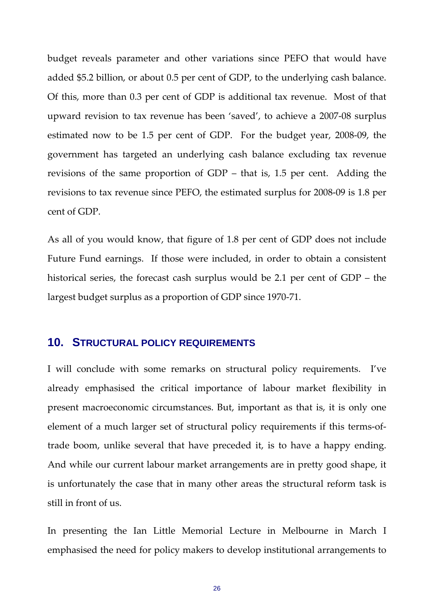budget reveals parameter and other variations since PEFO that would have added \$5.2 billion, or about 0.5 per cent of GDP, to the underlying cash balance. Of this, more than 0.3 per cent of GDP is additional tax revenue. Most of that upward revision to tax revenue has been 'saved', to achieve a 2007‐08 surplus estimated now to be 1.5 per cent of GDP. For the budget year, 2008-09, the government has targeted an underlying cash balance excluding tax revenue revisions of the same proportion of GDP – that is, 1.5 per cent. Adding the revisions to tax revenue since PEFO, the estimated surplus for 2008‐09 is 1.8 per cent of GDP.

As all of you would know, that figure of 1.8 per cent of GDP does not include Future Fund earnings. If those were included, in order to obtain a consistent historical series, the forecast cash surplus would be 2.1 per cent of GDP – the largest budget surplus as a proportion of GDP since 1970‐71.

#### **10. STRUCTURAL POLICY REQUIREMENTS**

I will conclude with some remarks on structural policy requirements. I've already emphasised the critical importance of labour market flexibility in present macroeconomic circumstances. But, important as that is, it is only one element of a much larger set of structural policy requirements if this terms‐of‐ trade boom, unlike several that have preceded it, is to have a happy ending. And while our current labour market arrangements are in pretty good shape, it is unfortunately the case that in many other areas the structural reform task is still in front of us.

In presenting the Ian Little Memorial Lecture in Melbourne in March I emphasised the need for policy makers to develop institutional arrangements to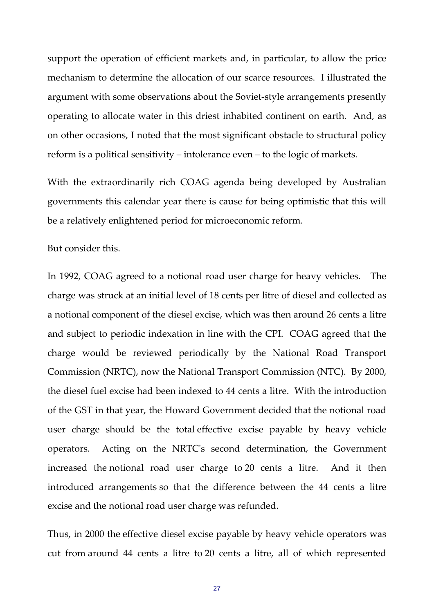support the operation of efficient markets and, in particular, to allow the price mechanism to determine the allocation of our scarce resources. I illustrated the argument with some observations about the Soviet‐style arrangements presently operating to allocate water in this driest inhabited continent on earth. And, as on other occasions, I noted that the most significant obstacle to structural policy reform is a political sensitivity – intolerance even – to the logic of markets.

With the extraordinarily rich COAG agenda being developed by Australian governments this calendar year there is cause for being optimistic that this will be a relatively enlightened period for microeconomic reform.

But consider this.

In 1992, COAG agreed to a notional road user charge for heavy vehicles. The charge was struck at an initial level of 18 cents per litre of diesel and collected as a notional component of the diesel excise, which was then around 26 cents a litre and subject to periodic indexation in line with the CPI. COAG agreed that the charge would be reviewed periodically by the National Road Transport Commission (NRTC), now the National Transport Commission (NTC). By 2000, the diesel fuel excise had been indexed to 44 cents a litre. With the introduction of the GST in that year, the Howard Government decided that the notional road user charge should be the total effective excise payable by heavy vehicle operators. Acting on the NRTCʹs second determination, the Government increased the notional road user charge to 20 cents a litre. And it then introduced arrangements so that the difference between the 44 cents a litre excise and the notional road user charge was refunded.

Thus, in 2000 the effective diesel excise payable by heavy vehicle operators was cut from around 44 cents a litre to 20 cents a litre, all of which represented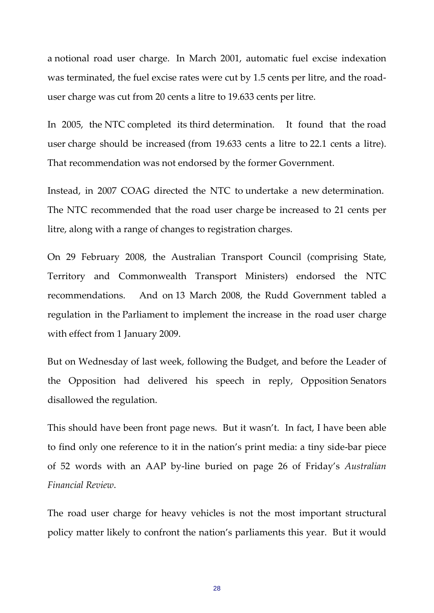a notional road user charge. In March 2001, automatic fuel excise indexation was terminated, the fuel excise rates were cut by 1.5 cents per litre, and the roaduser charge was cut from 20 cents a litre to 19.633 cents per litre.

In 2005, the NTC completed its third determination. It found that the road user charge should be increased (from 19.633 cents a litre to 22.1 cents a litre). That recommendation was not endorsed by the former Government.

Instead, in 2007 COAG directed the NTC to undertake a new determination. The NTC recommended that the road user charge be increased to 21 cents per litre, along with a range of changes to registration charges.

On 29 February 2008, the Australian Transport Council (comprising State, Territory and Commonwealth Transport Ministers) endorsed the NTC recommendations. And on 13 March 2008, the Rudd Government tabled a regulation in the Parliament to implement the increase in the road user charge with effect from 1 January 2009.

But on Wednesday of last week, following the Budget, and before the Leader of the Opposition had delivered his speech in reply, Opposition Senators disallowed the regulation.

This should have been front page news. But it wasn't. In fact, I have been able to find only one reference to it in the nation's print media: a tiny side‐bar piece of 52 words with an AAP by‐line buried on page 26 of Friday's *Australian Financial Review*.

The road user charge for heavy vehicles is not the most important structural policy matter likely to confront the nation's parliaments this year. But it would